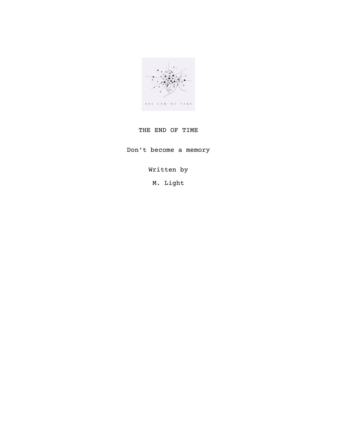

# THE END OF TIME

Don't become a memory

Written by

M. Light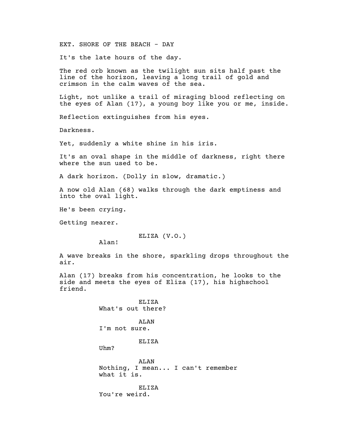EXT. SHORE OF THE BEACH - DAY

It's the late hours of the day.

The red orb known as the twilight sun sits half past the line of the horizon, leaving a long trail of gold and crimson in the calm waves of the sea.

Light, not unlike a trail of miraging blood reflecting on the eyes of Alan (17), a young boy like you or me, inside.

Reflection extinguishes from his eyes.

Darkness.

Yet, suddenly a white shine in his iris.

It's an oval shape in the middle of darkness, right there where the sun used to be.

A dark horizon. (Dolly in slow, dramatic.)

A now old Alan (68) walks through the dark emptiness and into the oval light.

He's been crying.

Getting nearer.

ELIZA (V.O.)

Alan!

A wave breaks in the shore, sparkling drops throughout the air.

Alan (17) breaks from his concentration, he looks to the side and meets the eyes of Eliza (17), his highschool friend.

> ELIZA What's out there?

ALAN I'm not sure.

ELIZA

Uhm?

ALAN Nothing, I mean... I can't remember what it is.

ELIZA You're weird.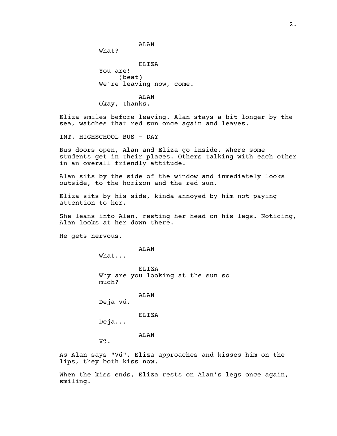What?

ELIZA You are! (beat) We're leaving now, come.

ALAN

ALAN Okay, thanks.

Eliza smiles before leaving. Alan stays a bit longer by the sea, watches that red sun once again and leaves.

INT. HIGHSCHOOL BUS - DAY

Bus doors open, Alan and Eliza go inside, where some students get in their places. Others talking with each other in an overall friendly attitude.

Alan sits by the side of the window and inmediately looks outside, to the horizon and the red sun.

Eliza sits by his side, kinda annoyed by him not paying attention to her.

She leans into Alan, resting her head on his legs. Noticing, Alan looks at her down there.

He gets nervous.

ALAN

What...

ELIZA Why are you looking at the sun so much?

ALAN

Deja vú.

ELIZA

Deja...

ALAN

Vú.

As Alan says "Vú", Eliza approaches and kisses him on the lips, they both kiss now.

When the kiss ends, Eliza rests on Alan's legs once again, smiling.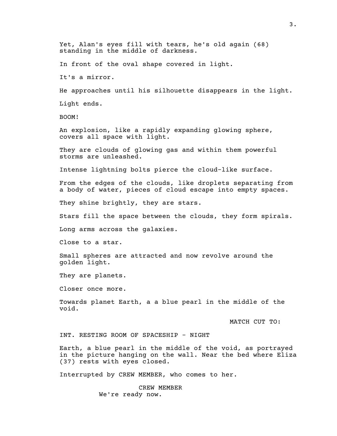Yet, Alan's eyes fill with tears, he's old again (68) standing in the middle of darkness. In front of the oval shape covered in light. It's a mirror. He approaches until his silhouette disappears in the light. Light ends. BOOM! An explosion, like a rapidly expanding glowing sphere, covers all space with light. They are clouds of glowing gas and within them powerful storms are unleashed. Intense lightning bolts pierce the cloud-like surface. From the edges of the clouds, like droplets separating from a body of water, pieces of cloud escape into empty spaces. They shine brightly, they are stars. Stars fill the space between the clouds, they form spirals. Long arms across the galaxies. Close to a star. Small spheres are attracted and now revolve around the golden light. They are planets. Closer once more. Towards planet Earth, a a blue pearl in the middle of the void. MATCH CUT TO: INT. RESTING ROOM OF SPACESHIP - NIGHT Earth, a blue pearl in the middle of the void, as portrayed in the picture hanging on the wall. Near the bed where Eliza (37) rests with eyes closed. Interrupted by CREW MEMBER, who comes to her. CREW MEMBER

We're ready now.

3.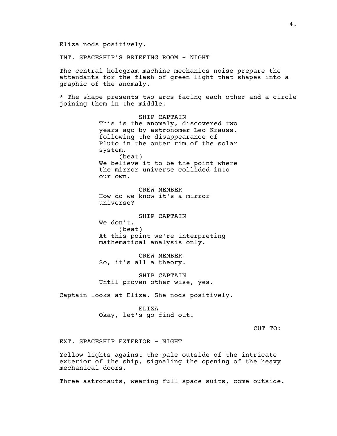Eliza nods positively.

INT. SPACESHIP'S BRIEFING ROOM - NIGHT

The central hologram machine mechanics noise prepare the attendants for the flash of green light that shapes into a graphic of the anomaly.

\* The shape presents two arcs facing each other and a circle joining them in the middle.

> SHIP CAPTAIN This is the anomaly, discovered two years ago by astronomer Leo Krauss, following the disappearance of Pluto in the outer rim of the solar system. (beat) We believe it to be the point where the mirror universe collided into our own.

CREW MEMBER How do we know it's a mirror universe?

SHIP CAPTAIN We don't. (beat) At this point we're interpreting mathematical analysis only.

CREW MEMBER So, it's all a theory.

SHIP CAPTAIN Until proven other wise, yes.

Captain looks at Eliza. She nods positively.

ELIZA Okay, let's go find out.

CUT TO:

EXT. SPACESHIP EXTERIOR - NIGHT

Yellow lights against the pale outside of the intricate exterior of the ship, signaling the opening of the heavy mechanical doors.

Three astronauts, wearing full space suits, come outside.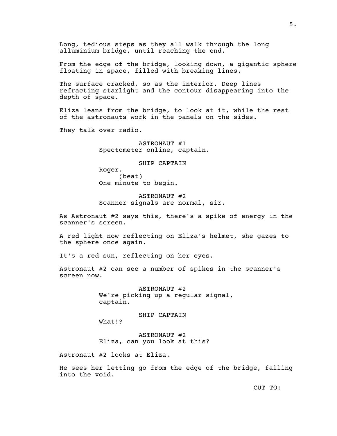Long, tedious steps as they all walk through the long alluminium bridge, until reaching the end.

From the edge of the bridge, looking down, a gigantic sphere floating in space, filled with breaking lines.

The surface cracked, so as the interior. Deep lines refracting starlight and the contour disappearing into the depth of space.

Eliza leans from the bridge, to look at it, while the rest of the astronauts work in the panels on the sides.

They talk over radio.

ASTRONAUT #1 Spectometer online, captain.

SHIP CAPTAIN

Roger. (beat) One minute to begin.

ASTRONAUT #2 Scanner signals are normal, sir.

As Astronaut #2 says this, there's a spike of energy in the scanner's screen.

A red light now reflecting on Eliza's helmet, she gazes to the sphere once again.

It's a red sun, reflecting on her eyes.

Astronaut #2 can see a number of spikes in the scanner's screen now.

> ASTRONAUT #2 We're picking up a regular signal, captain.

SHIP CAPTAIN What!?

ASTRONAUT #2 Eliza, can you look at this?

Astronaut #2 looks at Eliza.

He sees her letting go from the edge of the bridge, falling into the void.

CUT TO: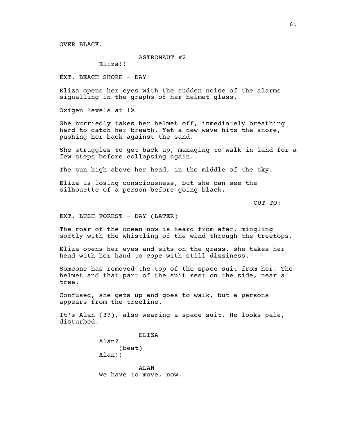OVER BLACK.

## ASTRONAUT #2

Eliza!!

EXT. BEACH SHORE - DAY

Eliza opens her eyes with the sudden noise of the alarms signalling in the graphs of her helmet glass.

Oxigen levels at 1%

She hurriedly takes her helmet off, inmediately breathing hard to catch her breath. Yet a new wave hits the shore, pushing her back against the sand.

She struggles to get back up, managing to walk in land for a few steps before collapsing again.

The sun high above her head, in the middle of the sky.

Eliza is losing consciousness, but she can see the silhouette of a person before going black.

CUT TO:

EXT. LUSH FOREST - DAY (LATER)

The roar of the ocean now is heard from afar, mingling softly with the whistling of the wind through the treetops.

Eliza opens her eyes and sits on the grass, she takes her head with her hand to cope with still dizziness.

Someone has removed the top of the space suit from her. The helmet and that part of the suit rest on the side, near a tree.

Confused, she gets up and goes to walk, but a persons appears from the treeline.

It's Alan (37), also wearing a space suit. He looks pale, disturbed.

> ELIZA Alan? (beat) Alan!!

ALAN We have to move, now.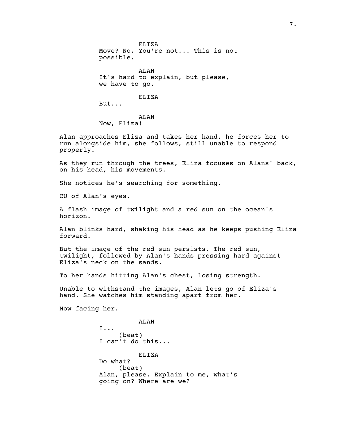ELIZA Move? No. You're not... This is not possible.

ALAN It's hard to explain, but please, we have to go.

ELIZA

But...

ALAN Now, Eliza!

Alan approaches Eliza and takes her hand, he forces her to run alongside him, she follows, still unable to respond properly.

As they run through the trees, Eliza focuses on Alans' back, on his head, his movements.

She notices he's searching for something.

CU of Alan's eyes.

A flash image of twilight and a red sun on the ocean's horizon.

Alan blinks hard, shaking his head as he keeps pushing Eliza forward.

But the image of the red sun persists. The red sun, twilight, followed by Alan's hands pressing hard against Eliza's neck on the sands.

To her hands hitting Alan's chest, losing strength.

Unable to withstand the images, Alan lets go of Eliza's hand. She watches him standing apart from her.

Now facing her.

ALAN I... (beat) I can't do this... ELIZA Do what? (beat) Alan, please. Explain to me, what's going on? Where are we?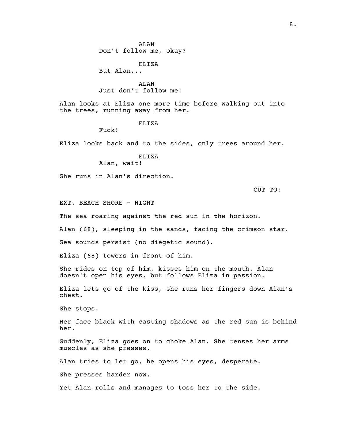ALAN Don't follow me, okay?

ELIZA

But Alan...

ALAN Just don't follow me!

Alan looks at Eliza one more time before walking out into the trees, running away from her.

## ELIZA

Fuck!

Eliza looks back and to the sides, only trees around her.

## ELIZA

Alan, wait!

She runs in Alan's direction.

CUT TO:

EXT. BEACH SHORE - NIGHT

The sea roaring against the red sun in the horizon.

Alan (68), sleeping in the sands, facing the crimson star.

Sea sounds persist (no diegetic sound).

Eliza (68) towers in front of him.

She rides on top of him, kisses him on the mouth. Alan doesn't open his eyes, but follows Eliza in passion.

Eliza lets go of the kiss, she runs her fingers down Alan's chest.

She stops.

Her face black with casting shadows as the red sun is behind her.

Suddenly, Eliza goes on to choke Alan. She tenses her arms muscles as she presses.

Alan tries to let go, he opens his eyes, desperate.

She presses harder now.

Yet Alan rolls and manages to toss her to the side.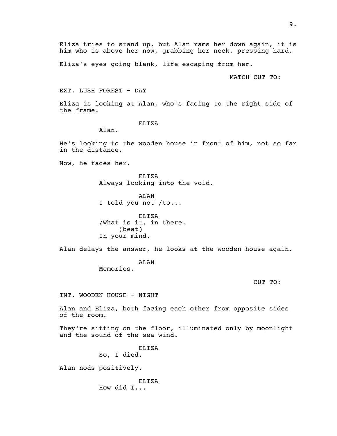Eliza tries to stand up, but Alan rams her down again, it is him who is above her now, grabbing her neck, pressing hard.

Eliza's eyes going blank, life escaping from her.

MATCH CUT TO:

#### EXT. LUSH FOREST - DAY

Eliza is looking at Alan, who's facing to the right side of the frame.

#### ELIZA

Alan.

He's looking to the wooden house in front of him, not so far in the distance.

Now, he faces her.

ELIZA Always looking into the void.

ALAN I told you not /to...

ELIZA /What is it, in there. (beat) In your mind.

Alan delays the answer, he looks at the wooden house again.

ALAN Memories.

CUT TO:

INT. WOODEN HOUSE - NIGHT

Alan and Eliza, both facing each other from opposite sides of the room.

They're sitting on the floor, illuminated only by moonlight and the sound of the sea wind.

> ELIZA So, I died.

Alan nods positively.

ELIZA How did I...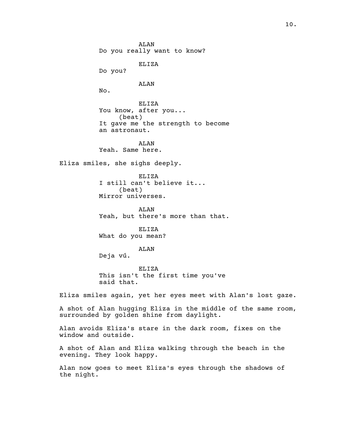ALAN Do you really want to know? ELIZA Do you? ALAN No. ELIZA You know, after you... (beat) It gave me the strength to become an astronaut. ALAN Yeah. Same here. Eliza smiles, she sighs deeply. ELIZA I still can't believe it... (beat) Mirror universes. ALAN Yeah, but there's more than that. ELIZA What do you mean? ALAN Deja vú. ELIZA This isn't the first time you've said that. Eliza smiles again, yet her eyes meet with Alan's lost gaze. A shot of Alan hugging Eliza in the middle of the same room, surrounded by golden shine from daylight. Alan avoids Eliza's stare in the dark room, fixes on the window and outside. A shot of Alan and Eliza walking through the beach in the evening. They look happy.

Alan now goes to meet Eliza's eyes through the shadows of the night.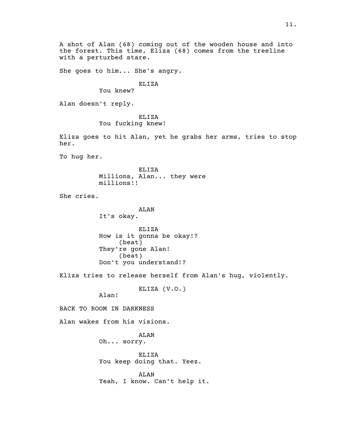A shot of Alan (68) coming out of the wooden house and into the forest. This time, Eliza (68) comes from the treeline with a perturbed stare.

She goes to him... She's angry.

#### ELIZA

You knew?

Alan doesn't reply.

ELIZA You fucking knew!

Eliza goes to hit Alan, yet he grabs her arms, tries to stop her.

To hug her.

ELIZA Millions, Alan... they were millions!!

She cries.

ALAN It's okay.

ELIZA How is it gonna be okay!? (beat) They're gone Alan! (beat) Don't you understand!?

Eliza tries to release herself from Alan's hug, violently.

ELIZA (V.O.)

Alan!

BACK TO ROOM IN DARKNESS

Alan wakes from his visions.

ALAN Oh... sorry.

ELIZA You keep doing that. Yeez.

ALAN Yeah, I know. Can't help it.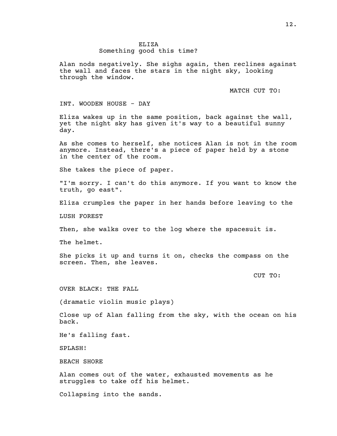Alan nods negatively. She sighs again, then reclines against the wall and faces the stars in the night sky, looking through the window.

MATCH CUT TO:

INT. WOODEN HOUSE - DAY

Eliza wakes up in the same position, back against the wall, yet the night sky has given it's way to a beautiful sunny day.

As she comes to herself, she notices Alan is not in the room anymore. Instead, there's a piece of paper held by a stone in the center of the room.

She takes the piece of paper.

"I'm sorry. I can't do this anymore. If you want to know the truth, go east".

Eliza crumples the paper in her hands before leaving to the

LUSH FOREST

Then, she walks over to the log where the spacesuit is.

The helmet.

She picks it up and turns it on, checks the compass on the screen. Then, she leaves.

CUT TO:

OVER BLACK: THE FALL

(dramatic violin music plays)

Close up of Alan falling from the sky, with the ocean on his back.

He's falling fast.

SPLASH!

BEACH SHORE

Alan comes out of the water, exhausted movements as he struggles to take off his helmet.

Collapsing into the sands.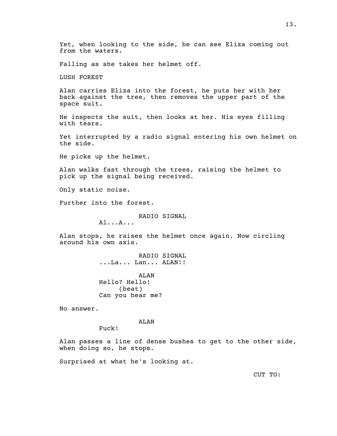Yet, when looking to the side, he can see Eliza coming out from the waters.

Falling as she takes her helmet off.

LUSH FOREST

Alan carries Eliza into the forest, he puts her with her back against the tree, then removes the upper part of the space suit.

He inspects the suit, then looks at her. His eyes filling with tears.

Yet interrupted by a radio signal entering his own helmet on the side.

He picks up the helmet.

Alan walks fast through the trees, raising the helmet to pick up the signal being received.

Only static noise.

Further into the forest.

RADIO SIGNAL

Al...A...

Alan stops, he raises the helmet once again. Now circling around his own axis.

> RADIO SIGNAL ...La... Lan... ALAN!!

ALAN Hello? Hello! (beat) Can you hear me?

No answer.

ALAN

Fuck!

Alan passes a line of dense bushes to get to the other side, when doing so, he stops.

Surprised at what he's looking at.

CUT TO: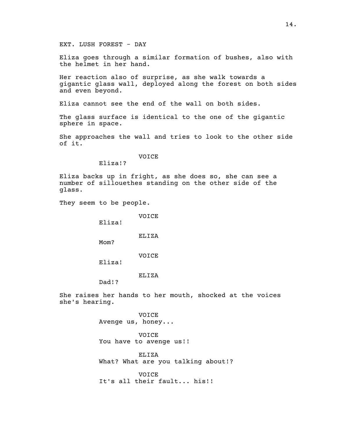EXT. LUSH FOREST - DAY

Eliza goes through a similar formation of bushes, also with the helmet in her hand.

Her reaction also of surprise, as she walk towards a gigantic glass wall, deployed along the forest on both sides and even beyond.

Eliza cannot see the end of the wall on both sides.

The glass surface is identical to the one of the gigantic sphere in space.

She approaches the wall and tries to look to the other side of it.

VOICE

Eliza!?

Eliza backs up in fright, as she does so, she can see a number of sillouethes standing on the other side of the glass.

They seem to be people.

VOICE

Eliza!

ELIZA

Mom?

VOICE

Eliza!

ELIZA

Dad!?

She raises her hands to her mouth, shocked at the voices she's hearing.

> VOICE Avenge us, honey...

VOICE You have to avenge us!!

ELIZA What? What are you talking about!?

VOICE It's all their fault... his!!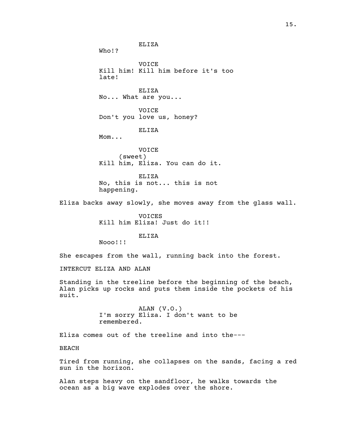ELIZA Who!? VOICE Kill him! Kill him before it's too late! ELIZA No... What are you... VOICE Don't you love us, honey? ELIZA Mom... VOICE (sweet) Kill him, Eliza. You can do it. ELIZA No, this is not... this is not happening. Eliza backs away slowly, she moves away from the glass wall. VOICES Kill him Eliza! Just do it!! ELIZA Nooo!!! She escapes from the wall, running back into the forest. INTERCUT ELIZA AND ALAN Standing in the treeline before the beginning of the beach, Alan picks up rocks and puts them inside the pockets of his suit. ALAN (V.O.) I'm sorry Eliza. I don't want to be remembered. Eliza comes out of the treeline and into the--- BEACH Tired from running, she collapses on the sands, facing a red sun in the horizon.

Alan steps heavy on the sandfloor, he walks towards the ocean as a big wave explodes over the shore.